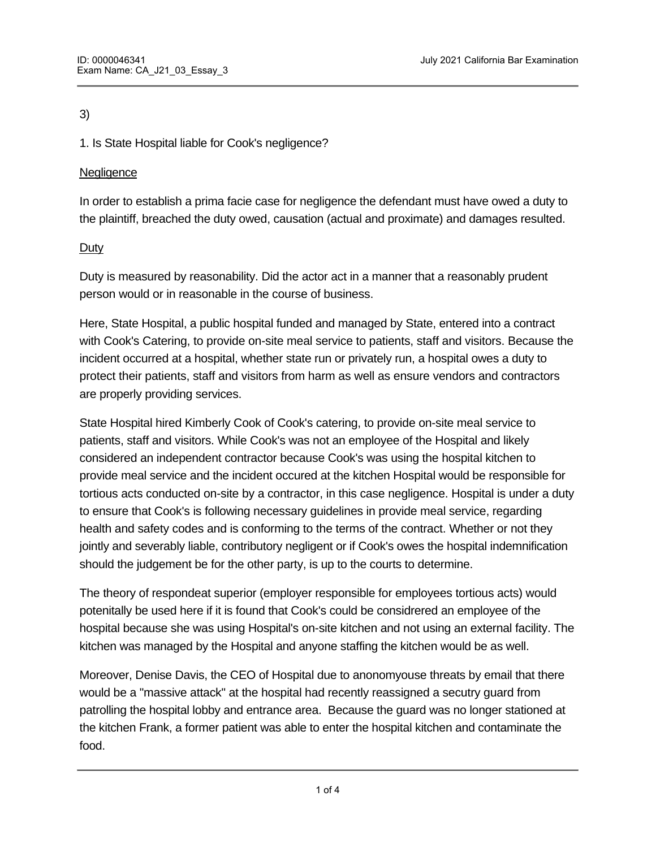# 3)

1. Is State Hospital liable for Cook's negligence?

# **Negligence**

Negligence Per Se

In order to establish a prima facie case for negligence the defendant must have owed a duty to the plaintiff, breached the duty owed, causation (actual and proximate) and damages resulted.

# Duty

Duty is measured by reasonability. Did the actor act in a manner that a reasonably prudent person would or in reasonable in the course of business.

Here, State Hospital, a public hospital funded and managed by State, entered into a contract with Cook's Catering, to provide on-site meal service to patients, staff and visitors. Because the incident occurred at a hospital, whether state run or privately run, a hospital owes a duty to protect their patients, staff and visitors from harm as well as ensure vendors and contractors are properly providing services.

State Hospital hired Kimberly Cook of Cook's catering, to provide on-site meal service to patients, staff and visitors. While Cook's was not an employee of the Hospital and likely considered an independent contractor because Cook's was using the hospital kitchen to provide meal service and the incident occured at the kitchen Hospital would be responsible for tortious acts conducted on-site by a contractor, in this case negligence. Hospital is under a duty to ensure that Cook's is following necessary guidelines in provide meal service, regarding health and safety codes and is conforming to the terms of the contract. Whether or not they jointly and severably liable, contributory negligent or if Cook's owes the hospital indemnification should the judgement be for the other party, is up to the courts to determine.

The theory of respondeat superior (employer responsible for employees tortious acts) would potenitally be used here if it is found that Cook's could be considrered an employee of the hospital because she was using Hospital's on-site kitchen and not using an external facility. The kitchen was managed by the Hospital and anyone staffing the kitchen would be as well.

Moreover, Denise Davis, the CEO of Hospital due to anonomyouse threats by email that there would be a "massive attack" at the hospital had recently reassigned a secutry guard from patrolling the hospital lobby and entrance area. Because the guard was no longer stationed at the kitchen Frank, a former patient was able to enter the hospital kitchen and contaminate the food.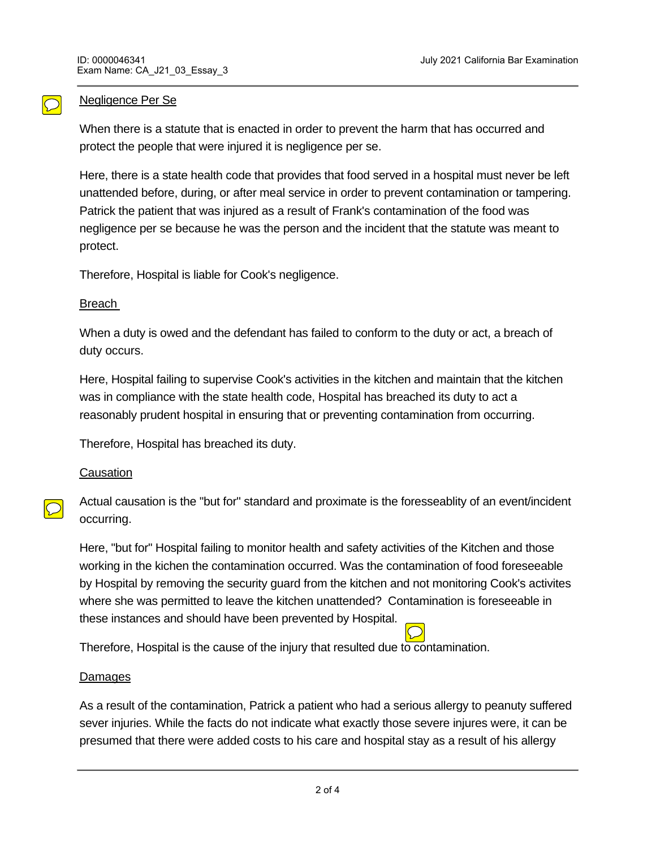#### Negligence Per Se

When there is a statute that is enacted in order to prevent the harm that has occurred and protect the people that were injured it is negligence per se.

Here, there is a state health code that provides that food served in a hospital must never be left unattended before, during, or after meal service in order to prevent contamination or tampering. Patrick the patient that was injured as a result of Frank's contamination of the food was negligence per se because he was the person and the incident that the statute was meant to protect.

Therefore, Hospital is liable for Cook's negligence.

#### Breach

When a duty is owed and the defendant has failed to conform to the duty or act, a breach of duty occurs.

Here, Hospital failing to supervise Cook's activities in the kitchen and maintain that the kitchen was in compliance with the state health code, Hospital has breached its duty to act a reasonably prudent hospital in ensuring that or preventing contamination from occurring.

Therefore, Hospital has breached its duty.

## **Causation**

Actual causation is the "but for" standard and proximate is the foresseablity of an event/incident occurring.

Here, "but for" Hospital failing to monitor health and safety activities of the Kitchen and those working in the kichen the contamination occurred. Was the contamination of food foreseeable by Hospital by removing the security guard from the kitchen and not monitoring Cook's activites where she was permitted to leave the kitchen unattended? Contamination is foreseeable in these instances and should have been prevented by Hospital.

Therefore, Hospital is the cause of the injury that resulted due to contamination.

## **Damages**

As a result of the contamination, Patrick a patient who had a serious allergy to peanuty suffered sever injuries. While the facts do not indicate what exactly those severe injures were, it can be presumed that there were added costs to his care and hospital stay as a result of his allergy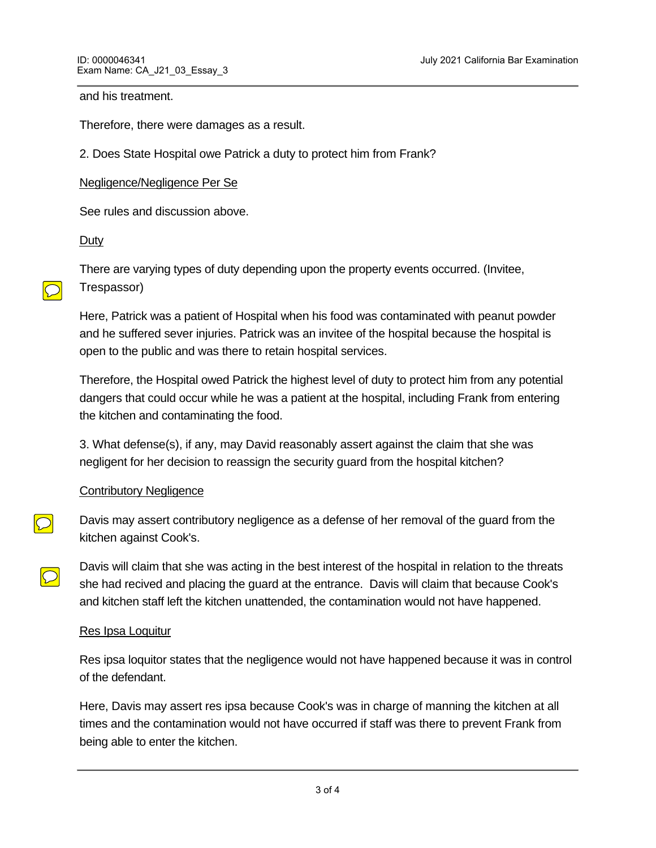and his treatment.

Therefore, there were damages as a result.

2. Does State Hospital owe Patrick a duty to protect him from Frank?

#### Negligence/Negligence Per Se

See rules and discussion above.

#### **Duty**

 $|\bigcirc|$ 

There are varying types of duty depending upon the property events occurred. (Invitee, Trespassor)

Here, Patrick was a patient of Hospital when his food was contaminated with peanut powder and he suffered sever injuries. Patrick was an invitee of the hospital because the hospital is open to the public and was there to retain hospital services.

Therefore, the Hospital owed Patrick the highest level of duty to protect him from any potential dangers that could occur while he was a patient at the hospital, including Frank from entering the kitchen and contaminating the food.

3. What defense(s), if any, may David reasonably assert against the claim that she was negligent for her decision to reassign the security guard from the hospital kitchen?

## **Contributory Negligence**

Davis may assert contributory negligence as a defense of her removal of the guard from the kitchen against Cook's.

Davis will claim that she was acting in the best interest of the hospital in relation to the threats she had recived and placing the guard at the entrance. Davis will claim that because Cook's and kitchen staff left the kitchen unattended, the contamination would not have happened.

#### Res Ipsa Loquitur

<u>Conclusion (Conclusion)</u>

Res ipsa loquitor states that the negligence would not have happened because it was in control of the defendant.

Here, Davis may assert res ipsa because Cook's was in charge of manning the kitchen at all times and the contamination would not have occurred if staff was there to prevent Frank from being able to enter the kitchen.